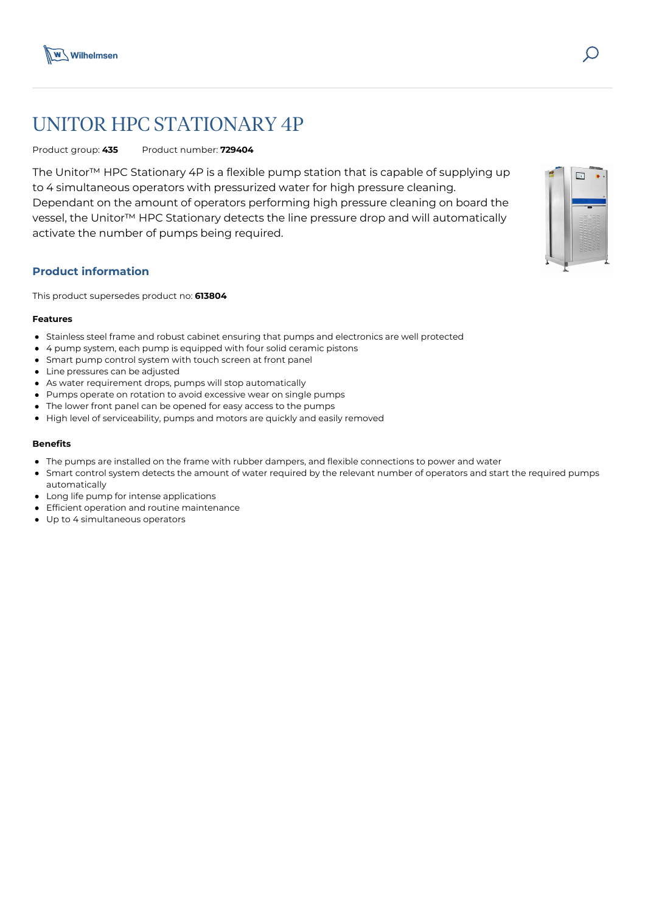

# UNITOR HPC STATIONARY 4P

Product group: **435** Product number: **729404**

The Unitor™ HPC Stationary 4P is a flexible pump station that is capable of supplying up to 4 simultaneous operators with pressurized water for high pressure cleaning. Dependant on the amount of operators performing high pressure cleaning on board the vessel, the Unitor™ HPC Stationary detects the line pressure drop and will automatically activate the number of pumps being required.

## **Product information**

This product supersedes product no: **613804**

#### **Features**

- Stainless steel frame and robust cabinet ensuring that pumps and electronics are well protected
- 4 pump system, each pump is equipped with four solid ceramic pistons
- Smart pump control system with touch screen at front panel
- Line pressures can be adjusted
- As water requirement drops, pumps will stop automatically
- Pumps operate on rotation to avoid excessive wear on single pumps
- The lower front panel can be opened for easy access to the pumps
- High level of serviceability, pumps and motors are quickly and easily removed

#### **Benefits**

- The pumps are installed on the frame with rubber dampers, and flexible connections to power and water
- Smart control system detects the amount of water required by the relevant number of operators and start the required pumps automatically
- Long life pump for intense applications
- **•** Efficient operation and routine maintenance
- Up to 4 simultaneous operators



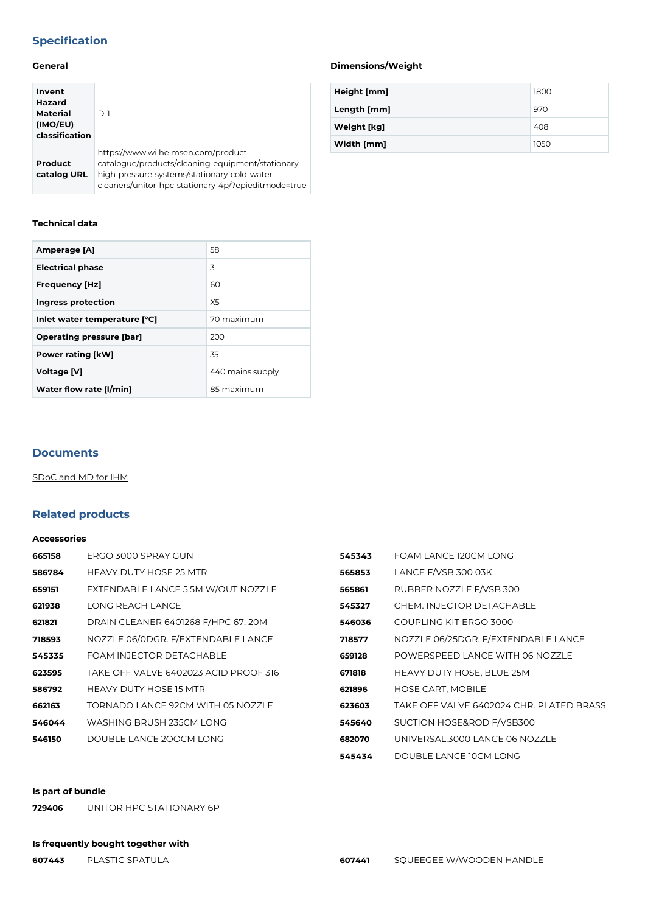## **Specification**

## **General**

| Invent<br>Hazard<br><b>Material</b><br>(IMO/EU)<br>classification | $D-1$                                                                                                                                                                                           |
|-------------------------------------------------------------------|-------------------------------------------------------------------------------------------------------------------------------------------------------------------------------------------------|
| Product<br>catalog URL                                            | https://www.wilhelmsen.com/product-<br>catalogue/products/cleaning-equipment/stationary-<br>high-pressure-systems/stationary-cold-water-<br>cleaners/unitor-hpc-stationary-4p/?epieditmode=true |

## **Technical data**

| Amperage [A]                    | 58               |
|---------------------------------|------------------|
| <b>Electrical phase</b>         | 3                |
| <b>Frequency [Hz]</b>           | 60               |
| Ingress protection              | X <sub>5</sub>   |
| Inlet water temperature [°C]    | 70 maximum       |
| <b>Operating pressure [bar]</b> | 200              |
| <b>Power rating [kW]</b>        | 35               |
| <b>Voltage [V]</b>              | 440 mains supply |
| Water flow rate [I/min]         | 85 maximum       |

#### **Documents**

[SDoC and MD for IHM](https://media.bluestonepim.com/e4deb258-8122-4fdf-9d12-b42f3e0e812d/d9be5c0c-d18e-4584-af03-f429d2aa14fe/ZKsaL06FrhZiF4FdTCeB1VEze/9KvQ7DFZXjTsTAlsQMl7oVHhu.pdf)

## **Related products**

#### **Accessories**

| 665158 | ERGO 3000 SPRAY GUN                   | 545343 | FOAM LANCE 120CM LONG                    |
|--------|---------------------------------------|--------|------------------------------------------|
| 586784 | <b>HEAVY DUTY HOSE 25 MTR</b>         | 565853 | LANCE F/VSB 300 03K                      |
| 659151 | EXTENDABLE LANCE 5.5M W/OUT NOZZLE    | 565861 | RUBBER NOZZLE F/VSB 300                  |
| 621938 | LONG REACH LANCE                      | 545327 | CHEM. INJECTOR DETACHABLE                |
| 621821 | DRAIN CLEANER 6401268 F/HPC 67, 20M   | 546036 | COUPLING KIT ERGO 3000                   |
| 718593 | NOZZLE 06/0DGR. F/EXTENDABLE LANCE    | 718577 | NOZZLE 06/25DGR. F/EXTENDABLE LANCE      |
| 545335 | FOAM INJECTOR DETACHABLE              | 659128 | POWERSPEED LANCE WITH 06 NOZZLE          |
| 623595 | TAKE OFF VALVE 6402023 ACID PROOF 316 | 671818 | <b>HEAVY DUTY HOSE, BLUE 25M</b>         |
| 586792 | <b>HEAVY DUTY HOSE 15 MTR</b>         | 621896 | HOSE CART, MOBILE                        |
| 662163 | TORNADO LANCE 92CM WITH 05 NOZZLE     | 623603 | TAKE OFF VALVE 6402024 CHR. PLATED BRASS |
| 546044 | WASHING BRUSH 235CM LONG              | 545640 | SUCTION HOSE&ROD F/VSB300                |
| 546150 | DOUBLE LANCE 200CM LONG               | 682070 | UNIVERSAL.3000 LANCE 06 NOZZLE           |
|        |                                       |        |                                          |

## **545434** [DOUBLE LANCE 10CM LONG](https://www.wilhelmsen.com/product-catalogue/products/cleaning-equipment/mobile-high-pressure-cleaners/spares--accessories-for-hot-hp-cleaners/double-lance-10cm-long/?epieditmode=true)

#### **Is part of bundle**

**729406** [UNITOR HPC STATIONARY 6P](https://www.wilhelmsen.com/product-catalogue/products/cleaning-equipment/stationary-high-pressure-systems/stationary-cold-water-cleaners/unitor-hpc-stationary-6p/?epieditmode=true)

## **Is frequently bought together with**

## **Dimensions/Weight**

| Height [mm] | 1800 |
|-------------|------|
| Length [mm] | 970  |
| Weight [kg] | 408  |
| Width [mm]  | 1050 |